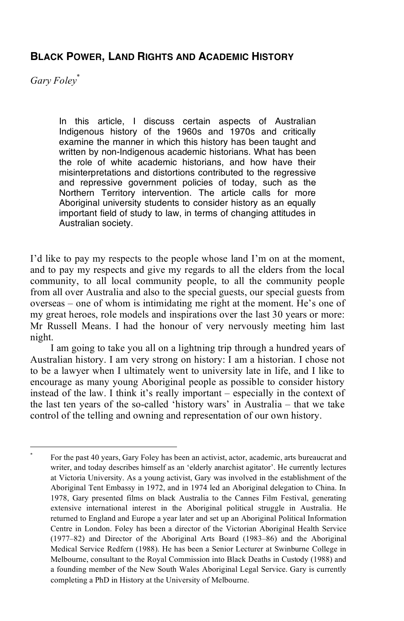## **BLACK POWER, LAND RIGHTS AND ACADEMIC HISTORY**

*Gary Foley*\*

In this article, I discuss certain aspects of Australian Indigenous history of the 1960s and 1970s and critically examine the manner in which this history has been taught and written by non-Indigenous academic historians. What has been the role of white academic historians, and how have their misinterpretations and distortions contributed to the regressive and repressive government policies of today, such as the Northern Territory intervention. The article calls for more Aboriginal university students to consider history as an equally important field of study to law, in terms of changing attitudes in Australian society.

I'd like to pay my respects to the people whose land I'm on at the moment, and to pay my respects and give my regards to all the elders from the local community, to all local community people, to all the community people from all over Australia and also to the special guests, our special guests from overseas – one of whom is intimidating me right at the moment. He's one of my great heroes, role models and inspirations over the last 30 years or more: Mr Russell Means. I had the honour of very nervously meeting him last night.

I am going to take you all on a lightning trip through a hundred years of Australian history. I am very strong on history: I am a historian. I chose not to be a lawyer when I ultimately went to university late in life, and I like to encourage as many young Aboriginal people as possible to consider history instead of the law. I think it's really important – especially in the context of the last ten years of the so-called 'history wars' in Australia – that we take control of the telling and owning and representation of our own history.

For the past 40 years, Gary Foley has been an activist, actor, academic, arts bureaucrat and writer, and today describes himself as an 'elderly anarchist agitator'. He currently lectures at Victoria University. As a young activist, Gary was involved in the establishment of the Aboriginal Tent Embassy in 1972, and in 1974 led an Aboriginal delegation to China. In 1978, Gary presented films on black Australia to the Cannes Film Festival, generating extensive international interest in the Aboriginal political struggle in Australia. He returned to England and Europe a year later and set up an Aboriginal Political Information Centre in London. Foley has been a director of the Victorian Aboriginal Health Service (1977–82) and Director of the Aboriginal Arts Board (1983–86) and the Aboriginal Medical Service Redfern (1988). He has been a Senior Lecturer at Swinburne College in Melbourne, consultant to the Royal Commission into Black Deaths in Custody (1988) and a founding member of the New South Wales Aboriginal Legal Service. Gary is currently completing a PhD in History at the University of Melbourne.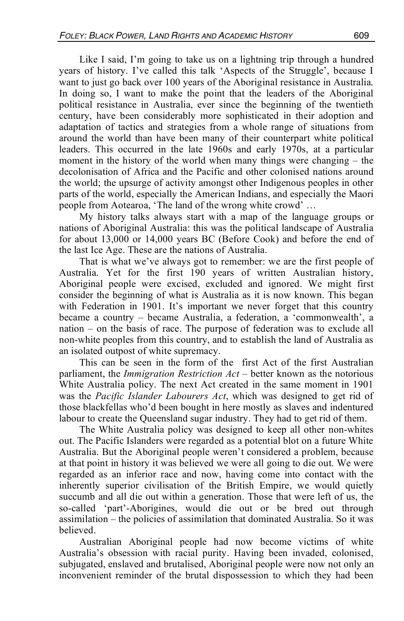Like I said, I'm going to take us on a lightning trip through a hundred years of history. I've called this talk 'Aspects of the Struggle', because I want to just go back over 100 years of the Aboriginal resistance in Australia. In doing so, I want to make the point that the leaders of the Aboriginal political resistance in Australia, ever since the beginning of the twentieth century, have been considerably more sophisticated in their adoption and adaptation of tactics and strategies from a whole range of situations from around the world than have been many of their counterpart white political leaders. This occurred in the late 1960s and early 1970s, at a particular moment in the history of the world when many things were changing – the decolonisation of Africa and the Pacific and other colonised nations around the world; the upsurge of activity amongst other Indigenous peoples in other parts of the world, especially the American Indians, and especially the Maori people from Aotearoa, 'The land of the wrong white crowd' …

My history talks always start with a map of the language groups or nations of Aboriginal Australia: this was the political landscape of Australia for about 13,000 or 14,000 years BC (Before Cook) and before the end of the last Ice Age. These are the nations of Australia.

That is what we've always got to remember: we are the first people of Australia. Yet for the first 190 years of written Australian history, Aboriginal people were excised, excluded and ignored. We might first consider the beginning of what is Australia as it is now known. This began with Federation in 1901. It's important we never forget that this country became a country – became Australia, a federation, a 'commonwealth', a nation – on the basis of race. The purpose of federation was to exclude all non-white peoples from this country, and to establish the land of Australia as an isolated outpost of white supremacy.

This can be seen in the form of the first Act of the first Australian parliament, the *Immigration Restriction Act* – better known as the notorious White Australia policy. The next Act created in the same moment in 1901 was the *Pacific Islander Labourers Act*, which was designed to get rid of those blackfellas who'd been bought in here mostly as slaves and indentured labour to create the Queensland sugar industry. They had to get rid of them.

The White Australia policy was designed to keep all other non-whites out. The Pacific Islanders were regarded as a potential blot on a future White Australia. But the Aboriginal people weren't considered a problem, because at that point in history it was believed we were all going to die out. We were regarded as an inferior race and now, having come into contact with the inherently superior civilisation of the British Empire, we would quietly succumb and all die out within a generation. Those that were left of us, the so-called 'part'-Aborigines, would die out or be bred out through assimilation – the policies of assimilation that dominated Australia. So it was believed.

Australian Aboriginal people had now become victims of white Australia's obsession with racial purity. Having been invaded, colonised, subjugated, enslaved and brutalised, Aboriginal people were now not only an inconvenient reminder of the brutal dispossession to which they had been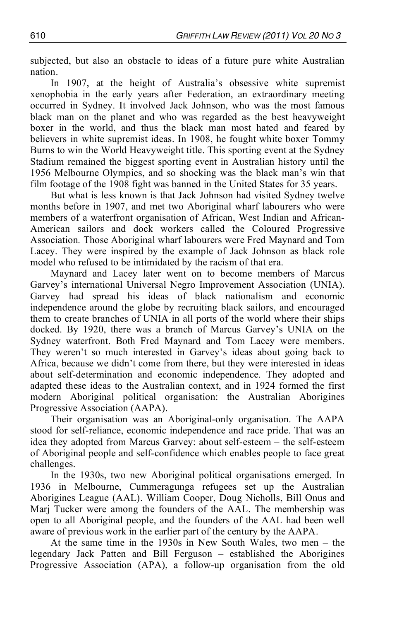subjected, but also an obstacle to ideas of a future pure white Australian nation.

In 1907, at the height of Australia's obsessive white supremist xenophobia in the early years after Federation, an extraordinary meeting occurred in Sydney. It involved Jack Johnson, who was the most famous black man on the planet and who was regarded as the best heavyweight boxer in the world, and thus the black man most hated and feared by believers in white supremist ideas. In 1908, he fought white boxer Tommy Burns to win the World Heavyweight title. This sporting event at the Sydney Stadium remained the biggest sporting event in Australian history until the 1956 Melbourne Olympics, and so shocking was the black man's win that film footage of the 1908 fight was banned in the United States for 35 years.

But what is less known is that Jack Johnson had visited Sydney twelve months before in 1907, and met two Aboriginal wharf labourers who were members of a waterfront organisation of African, West Indian and African-American sailors and dock workers called the Coloured Progressive Association*.* Those Aboriginal wharf labourers were Fred Maynard and Tom Lacey. They were inspired by the example of Jack Johnson as black role model who refused to be intimidated by the racism of that era.

Maynard and Lacey later went on to become members of Marcus Garvey's international Universal Negro Improvement Association (UNIA). Garvey had spread his ideas of black nationalism and economic independence around the globe by recruiting black sailors, and encouraged them to create branches of UNIA in all ports of the world where their ships docked. By 1920, there was a branch of Marcus Garvey's UNIA on the Sydney waterfront. Both Fred Maynard and Tom Lacey were members. They weren't so much interested in Garvey's ideas about going back to Africa, because we didn't come from there, but they were interested in ideas about self-determination and economic independence. They adopted and adapted these ideas to the Australian context, and in 1924 formed the first modern Aboriginal political organisation: the Australian Aborigines Progressive Association (AAPA).

Their organisation was an Aboriginal-only organisation. The AAPA stood for self-reliance, economic independence and race pride. That was an idea they adopted from Marcus Garvey: about self-esteem – the self-esteem of Aboriginal people and self-confidence which enables people to face great challenges.

In the 1930s, two new Aboriginal political organisations emerged. In 1936 in Melbourne, Cummeragunga refugees set up the Australian Aborigines League (AAL). William Cooper, Doug Nicholls, Bill Onus and Marj Tucker were among the founders of the AAL. The membership was open to all Aboriginal people, and the founders of the AAL had been well aware of previous work in the earlier part of the century by the AAPA.

At the same time in the 1930s in New South Wales, two men – the legendary Jack Patten and Bill Ferguson – established the Aborigines Progressive Association (APA), a follow-up organisation from the old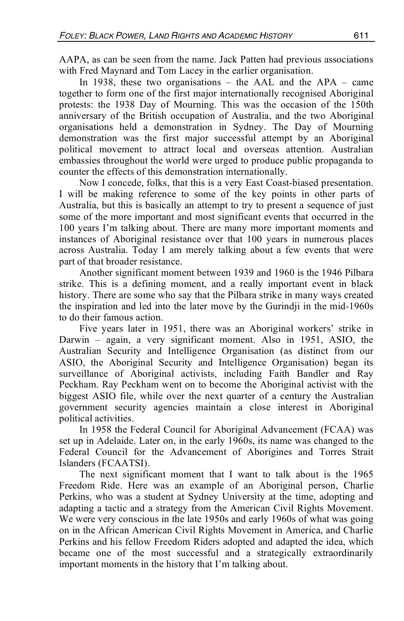AAPA, as can be seen from the name. Jack Patten had previous associations with Fred Maynard and Tom Lacey in the earlier organisation.

In 1938, these two organisations – the AAL and the APA – came together to form one of the first major internationally recognised Aboriginal protests: the 1938 Day of Mourning. This was the occasion of the 150th anniversary of the British occupation of Australia, and the two Aboriginal organisations held a demonstration in Sydney. The Day of Mourning demonstration was the first major successful attempt by an Aboriginal political movement to attract local and overseas attention. Australian embassies throughout the world were urged to produce public propaganda to counter the effects of this demonstration internationally.

Now I concede, folks, that this is a very East Coast-biased presentation. I will be making reference to some of the key points in other parts of Australia, but this is basically an attempt to try to present a sequence of just some of the more important and most significant events that occurred in the 100 years I'm talking about. There are many more important moments and instances of Aboriginal resistance over that 100 years in numerous places across Australia. Today I am merely talking about a few events that were part of that broader resistance.

Another significant moment between 1939 and 1960 is the 1946 Pilbara strike. This is a defining moment, and a really important event in black history. There are some who say that the Pilbara strike in many ways created the inspiration and led into the later move by the Gurindji in the mid-1960s to do their famous action.

Five years later in 1951, there was an Aboriginal workers' strike in Darwin – again, a very significant moment. Also in 1951, ASIO, the Australian Security and Intelligence Organisation (as distinct from our ASIO, the Aboriginal Security and Intelligence Organisation) began its surveillance of Aboriginal activists, including Faith Bandler and Ray Peckham. Ray Peckham went on to become the Aboriginal activist with the biggest ASIO file, while over the next quarter of a century the Australian government security agencies maintain a close interest in Aboriginal political activities.

In 1958 the Federal Council for Aboriginal Advancement (FCAA) was set up in Adelaide. Later on, in the early 1960s, its name was changed to the Federal Council for the Advancement of Aborigines and Torres Strait Islanders (FCAATSI).

The next significant moment that I want to talk about is the 1965 Freedom Ride. Here was an example of an Aboriginal person, Charlie Perkins, who was a student at Sydney University at the time, adopting and adapting a tactic and a strategy from the American Civil Rights Movement. We were very conscious in the late 1950s and early 1960s of what was going on in the African American Civil Rights Movement in America, and Charlie Perkins and his fellow Freedom Riders adopted and adapted the idea, which became one of the most successful and a strategically extraordinarily important moments in the history that I'm talking about.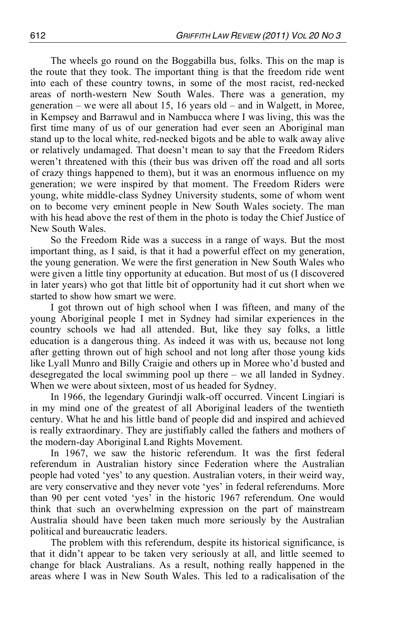The wheels go round on the Boggabilla bus, folks. This on the map is the route that they took. The important thing is that the freedom ride went into each of these country towns, in some of the most racist, red-necked areas of north-western New South Wales. There was a generation, my generation – we were all about 15, 16 years old – and in Walgett, in Moree, in Kempsey and Barrawul and in Nambucca where I was living, this was the first time many of us of our generation had ever seen an Aboriginal man stand up to the local white, red-necked bigots and be able to walk away alive or relatively undamaged. That doesn't mean to say that the Freedom Riders weren't threatened with this (their bus was driven off the road and all sorts of crazy things happened to them), but it was an enormous influence on my generation; we were inspired by that moment. The Freedom Riders were young, white middle-class Sydney University students, some of whom went on to become very eminent people in New South Wales society. The man with his head above the rest of them in the photo is today the Chief Justice of New South Wales.

So the Freedom Ride was a success in a range of ways. But the most important thing, as I said, is that it had a powerful effect on my generation, the young generation. We were the first generation in New South Wales who were given a little tiny opportunity at education. But most of us (I discovered in later years) who got that little bit of opportunity had it cut short when we started to show how smart we were.

I got thrown out of high school when I was fifteen, and many of the young Aboriginal people I met in Sydney had similar experiences in the country schools we had all attended. But, like they say folks, a little education is a dangerous thing. As indeed it was with us, because not long after getting thrown out of high school and not long after those young kids like Lyall Munro and Billy Craigie and others up in Moree who'd busted and desegregated the local swimming pool up there – we all landed in Sydney. When we were about sixteen, most of us headed for Sydney.

In 1966, the legendary Gurindji walk-off occurred. Vincent Lingiari is in my mind one of the greatest of all Aboriginal leaders of the twentieth century. What he and his little band of people did and inspired and achieved is really extraordinary. They are justifiably called the fathers and mothers of the modern-day Aboriginal Land Rights Movement.

In 1967, we saw the historic referendum. It was the first federal referendum in Australian history since Federation where the Australian people had voted 'yes' to any question. Australian voters, in their weird way, are very conservative and they never vote 'yes' in federal referendums. More than 90 per cent voted 'yes' in the historic 1967 referendum. One would think that such an overwhelming expression on the part of mainstream Australia should have been taken much more seriously by the Australian political and bureaucratic leaders.

The problem with this referendum, despite its historical significance, is that it didn't appear to be taken very seriously at all, and little seemed to change for black Australians. As a result, nothing really happened in the areas where I was in New South Wales. This led to a radicalisation of the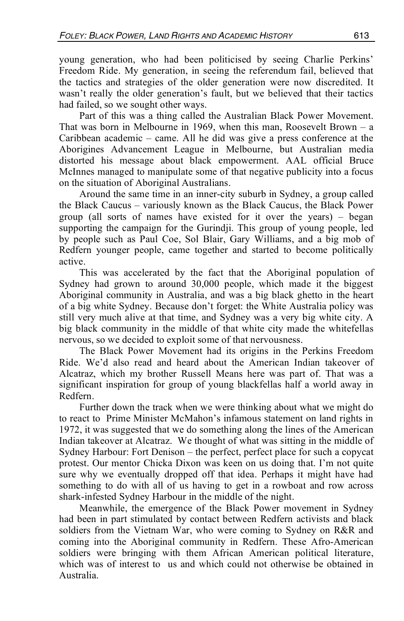young generation, who had been politicised by seeing Charlie Perkins' Freedom Ride. My generation, in seeing the referendum fail, believed that the tactics and strategies of the older generation were now discredited. It wasn't really the older generation's fault, but we believed that their tactics had failed, so we sought other ways.

Part of this was a thing called the Australian Black Power Movement. That was born in Melbourne in 1969, when this man, Roosevelt Brown – a Caribbean academic – came. All he did was give a press conference at the Aborigines Advancement League in Melbourne, but Australian media distorted his message about black empowerment. AAL official Bruce McInnes managed to manipulate some of that negative publicity into a focus on the situation of Aboriginal Australians.

Around the same time in an inner-city suburb in Sydney, a group called the Black Caucus – variously known as the Black Caucus, the Black Power group (all sorts of names have existed for it over the years) – began supporting the campaign for the Gurindji. This group of young people, led by people such as Paul Coe, Sol Blair, Gary Williams, and a big mob of Redfern younger people, came together and started to become politically active.

This was accelerated by the fact that the Aboriginal population of Sydney had grown to around 30,000 people, which made it the biggest Aboriginal community in Australia, and was a big black ghetto in the heart of a big white Sydney. Because don't forget: the White Australia policy was still very much alive at that time, and Sydney was a very big white city. A big black community in the middle of that white city made the whitefellas nervous, so we decided to exploit some of that nervousness.

The Black Power Movement had its origins in the Perkins Freedom Ride. We'd also read and heard about the American Indian takeover of Alcatraz, which my brother Russell Means here was part of. That was a significant inspiration for group of young blackfellas half a world away in Redfern.

Further down the track when we were thinking about what we might do to react to Prime Minister McMahon's infamous statement on land rights in 1972, it was suggested that we do something along the lines of the American Indian takeover at Alcatraz. We thought of what was sitting in the middle of Sydney Harbour: Fort Denison – the perfect, perfect place for such a copycat protest. Our mentor Chicka Dixon was keen on us doing that. I'm not quite sure why we eventually dropped off that idea. Perhaps it might have had something to do with all of us having to get in a rowboat and row across shark-infested Sydney Harbour in the middle of the night.

Meanwhile, the emergence of the Black Power movement in Sydney had been in part stimulated by contact between Redfern activists and black soldiers from the Vietnam War, who were coming to Sydney on R&R and coming into the Aboriginal community in Redfern. These Afro-American soldiers were bringing with them African American political literature, which was of interest to us and which could not otherwise be obtained in Australia.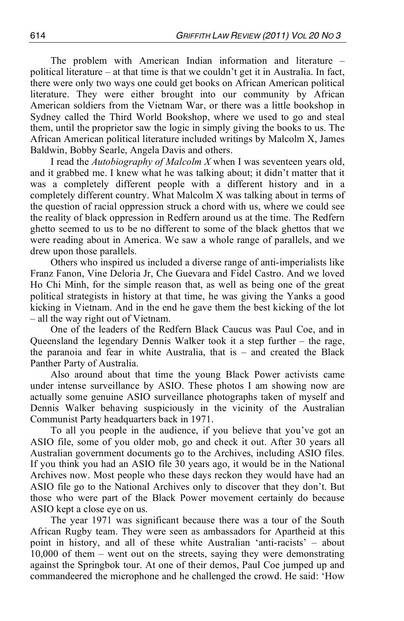The problem with American Indian information and literature – political literature – at that time is that we couldn't get it in Australia. In fact, there were only two ways one could get books on African American political literature. They were either brought into our community by African American soldiers from the Vietnam War, or there was a little bookshop in Sydney called the Third World Bookshop, where we used to go and steal them, until the proprietor saw the logic in simply giving the books to us. The African American political literature included writings by Malcolm X, James Baldwin, Bobby Searle, Angela Davis and others.

I read the *Autobiography of Malcolm X* when I was seventeen years old, and it grabbed me. I knew what he was talking about; it didn't matter that it was a completely different people with a different history and in a completely different country. What Malcolm X was talking about in terms of the question of racial oppression struck a chord with us, where we could see the reality of black oppression in Redfern around us at the time. The Redfern ghetto seemed to us to be no different to some of the black ghettos that we were reading about in America. We saw a whole range of parallels, and we drew upon those parallels.

Others who inspired us included a diverse range of anti-imperialists like Franz Fanon, Vine Deloria Jr, Che Guevara and Fidel Castro. And we loved Ho Chi Minh, for the simple reason that, as well as being one of the great political strategists in history at that time, he was giving the Yanks a good kicking in Vietnam. And in the end he gave them the best kicking of the lot – all the way right out of Vietnam.

One of the leaders of the Redfern Black Caucus was Paul Coe, and in Queensland the legendary Dennis Walker took it a step further – the rage, the paranoia and fear in white Australia, that is – and created the Black Panther Party of Australia.

Also around about that time the young Black Power activists came under intense surveillance by ASIO. These photos I am showing now are actually some genuine ASIO surveillance photographs taken of myself and Dennis Walker behaving suspiciously in the vicinity of the Australian Communist Party headquarters back in 1971.

To all you people in the audience, if you believe that you've got an ASIO file, some of you older mob, go and check it out. After 30 years all Australian government documents go to the Archives, including ASIO files. If you think you had an ASIO file 30 years ago, it would be in the National Archives now. Most people who these days reckon they would have had an ASIO file go to the National Archives only to discover that they don't. But those who were part of the Black Power movement certainly do because ASIO kept a close eye on us.

The year 1971 was significant because there was a tour of the South African Rugby team. They were seen as ambassadors for Apartheid at this point in history, and all of these white Australian 'anti-racists' – about 10,000 of them – went out on the streets, saying they were demonstrating against the Springbok tour. At one of their demos, Paul Coe jumped up and commandeered the microphone and he challenged the crowd. He said: 'How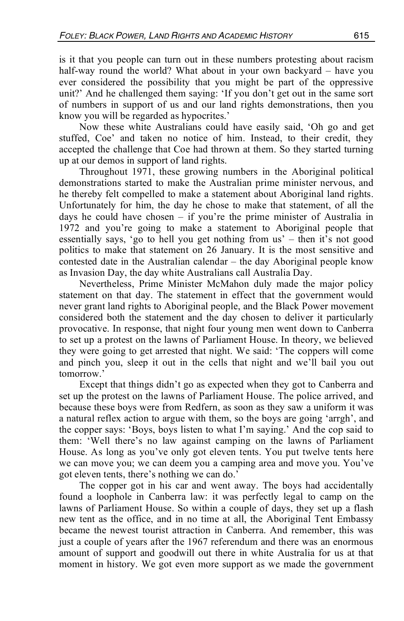is it that you people can turn out in these numbers protesting about racism half-way round the world? What about in your own backyard – have you ever considered the possibility that you might be part of the oppressive unit?' And he challenged them saying: 'If you don't get out in the same sort of numbers in support of us and our land rights demonstrations, then you know you will be regarded as hypocrites.'

Now these white Australians could have easily said, 'Oh go and get stuffed, Coe' and taken no notice of him. Instead, to their credit, they accepted the challenge that Coe had thrown at them. So they started turning up at our demos in support of land rights.

Throughout 1971, these growing numbers in the Aboriginal political demonstrations started to make the Australian prime minister nervous, and he thereby felt compelled to make a statement about Aboriginal land rights. Unfortunately for him, the day he chose to make that statement, of all the days he could have chosen – if you're the prime minister of Australia in 1972 and you're going to make a statement to Aboriginal people that essentially says, 'go to hell you get nothing from us' – then it's not good politics to make that statement on 26 January. It is the most sensitive and contested date in the Australian calendar – the day Aboriginal people know as Invasion Day, the day white Australians call Australia Day.

Nevertheless, Prime Minister McMahon duly made the major policy statement on that day. The statement in effect that the government would never grant land rights to Aboriginal people, and the Black Power movement considered both the statement and the day chosen to deliver it particularly provocative. In response, that night four young men went down to Canberra to set up a protest on the lawns of Parliament House. In theory, we believed they were going to get arrested that night. We said: 'The coppers will come and pinch you, sleep it out in the cells that night and we'll bail you out tomorrow.'

Except that things didn't go as expected when they got to Canberra and set up the protest on the lawns of Parliament House. The police arrived, and because these boys were from Redfern, as soon as they saw a uniform it was a natural reflex action to argue with them, so the boys are going 'arrgh', and the copper says: 'Boys, boys listen to what I'm saying.' And the cop said to them: 'Well there's no law against camping on the lawns of Parliament House. As long as you've only got eleven tents. You put twelve tents here we can move you; we can deem you a camping area and move you. You've got eleven tents, there's nothing we can do.'

The copper got in his car and went away. The boys had accidentally found a loophole in Canberra law: it was perfectly legal to camp on the lawns of Parliament House. So within a couple of days, they set up a flash new tent as the office, and in no time at all, the Aboriginal Tent Embassy became the newest tourist attraction in Canberra. And remember, this was just a couple of years after the 1967 referendum and there was an enormous amount of support and goodwill out there in white Australia for us at that moment in history. We got even more support as we made the government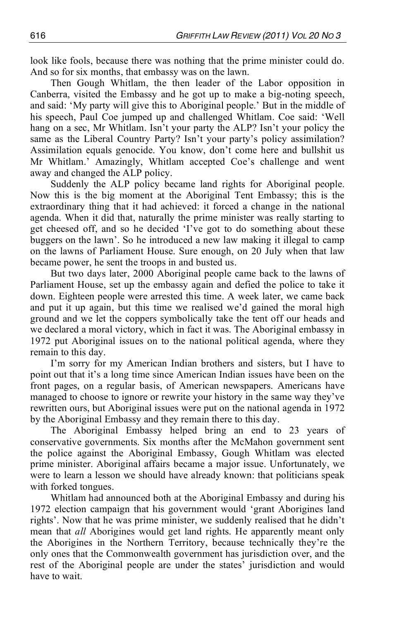look like fools, because there was nothing that the prime minister could do. And so for six months, that embassy was on the lawn.

Then Gough Whitlam, the then leader of the Labor opposition in Canberra, visited the Embassy and he got up to make a big-noting speech, and said: 'My party will give this to Aboriginal people.' But in the middle of his speech, Paul Coe jumped up and challenged Whitlam. Coe said: 'Well hang on a sec, Mr Whitlam. Isn't your party the ALP? Isn't your policy the same as the Liberal Country Party? Isn't your party's policy assimilation? Assimilation equals genocide. You know, don't come here and bullshit us Mr Whitlam.' Amazingly, Whitlam accepted Coe's challenge and went away and changed the ALP policy.

Suddenly the ALP policy became land rights for Aboriginal people. Now this is the big moment at the Aboriginal Tent Embassy; this is the extraordinary thing that it had achieved: it forced a change in the national agenda. When it did that, naturally the prime minister was really starting to get cheesed off, and so he decided 'I've got to do something about these buggers on the lawn'. So he introduced a new law making it illegal to camp on the lawns of Parliament House. Sure enough, on 20 July when that law became power, he sent the troops in and busted us.

But two days later, 2000 Aboriginal people came back to the lawns of Parliament House, set up the embassy again and defied the police to take it down. Eighteen people were arrested this time. A week later, we came back and put it up again, but this time we realised we'd gained the moral high ground and we let the coppers symbolically take the tent off our heads and we declared a moral victory, which in fact it was. The Aboriginal embassy in 1972 put Aboriginal issues on to the national political agenda, where they remain to this day.

I'm sorry for my American Indian brothers and sisters, but I have to point out that it's a long time since American Indian issues have been on the front pages, on a regular basis, of American newspapers. Americans have managed to choose to ignore or rewrite your history in the same way they've rewritten ours, but Aboriginal issues were put on the national agenda in 1972 by the Aboriginal Embassy and they remain there to this day.

The Aboriginal Embassy helped bring an end to 23 years of conservative governments. Six months after the McMahon government sent the police against the Aboriginal Embassy, Gough Whitlam was elected prime minister. Aboriginal affairs became a major issue. Unfortunately, we were to learn a lesson we should have already known: that politicians speak with forked tongues.

Whitlam had announced both at the Aboriginal Embassy and during his 1972 election campaign that his government would 'grant Aborigines land rights'. Now that he was prime minister, we suddenly realised that he didn't mean that *all* Aborigines would get land rights. He apparently meant only the Aborigines in the Northern Territory, because technically they're the only ones that the Commonwealth government has jurisdiction over, and the rest of the Aboriginal people are under the states' jurisdiction and would have to wait.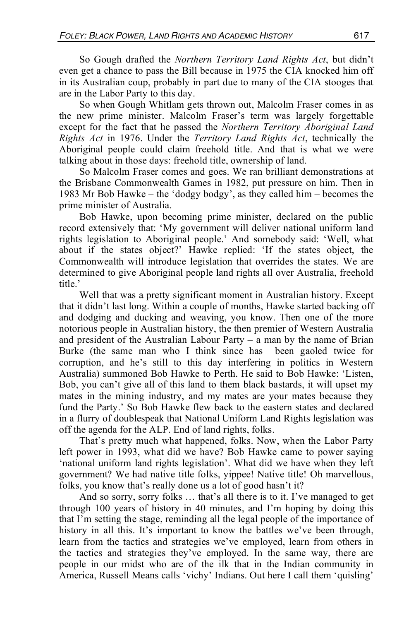So Gough drafted the *Northern Territory Land Rights Act*, but didn't even get a chance to pass the Bill because in 1975 the CIA knocked him off in its Australian coup, probably in part due to many of the CIA stooges that are in the Labor Party to this day.

So when Gough Whitlam gets thrown out, Malcolm Fraser comes in as the new prime minister. Malcolm Fraser's term was largely forgettable except for the fact that he passed the *Northern Territory Aboriginal Land Rights Act* in 1976. Under the *Territory Land Rights Act*, technically the Aboriginal people could claim freehold title. And that is what we were talking about in those days: freehold title, ownership of land.

So Malcolm Fraser comes and goes. We ran brilliant demonstrations at the Brisbane Commonwealth Games in 1982, put pressure on him. Then in 1983 Mr Bob Hawke – the 'dodgy bodgy', as they called him – becomes the prime minister of Australia.

Bob Hawke, upon becoming prime minister, declared on the public record extensively that: 'My government will deliver national uniform land rights legislation to Aboriginal people.' And somebody said: 'Well, what about if the states object?' Hawke replied: 'If the states object, the Commonwealth will introduce legislation that overrides the states. We are determined to give Aboriginal people land rights all over Australia, freehold title.'

Well that was a pretty significant moment in Australian history. Except that it didn't last long. Within a couple of months, Hawke started backing off and dodging and ducking and weaving, you know. Then one of the more notorious people in Australian history, the then premier of Western Australia and president of the Australian Labour Party – a man by the name of Brian Burke (the same man who I think since has been gaoled twice for corruption, and he's still to this day interfering in politics in Western Australia) summoned Bob Hawke to Perth. He said to Bob Hawke: 'Listen, Bob, you can't give all of this land to them black bastards, it will upset my mates in the mining industry, and my mates are your mates because they fund the Party.' So Bob Hawke flew back to the eastern states and declared in a flurry of doublespeak that National Uniform Land Rights legislation was off the agenda for the ALP. End of land rights, folks.

That's pretty much what happened, folks. Now, when the Labor Party left power in 1993, what did we have? Bob Hawke came to power saying 'national uniform land rights legislation'. What did we have when they left government? We had native title folks, yippee! Native title! Oh marvellous, folks, you know that's really done us a lot of good hasn't it?

And so sorry, sorry folks … that's all there is to it. I've managed to get through 100 years of history in 40 minutes, and I'm hoping by doing this that I'm setting the stage, reminding all the legal people of the importance of history in all this. It's important to know the battles we've been through, learn from the tactics and strategies we've employed, learn from others in the tactics and strategies they've employed. In the same way, there are people in our midst who are of the ilk that in the Indian community in America, Russell Means calls 'vichy' Indians. Out here I call them 'quisling'